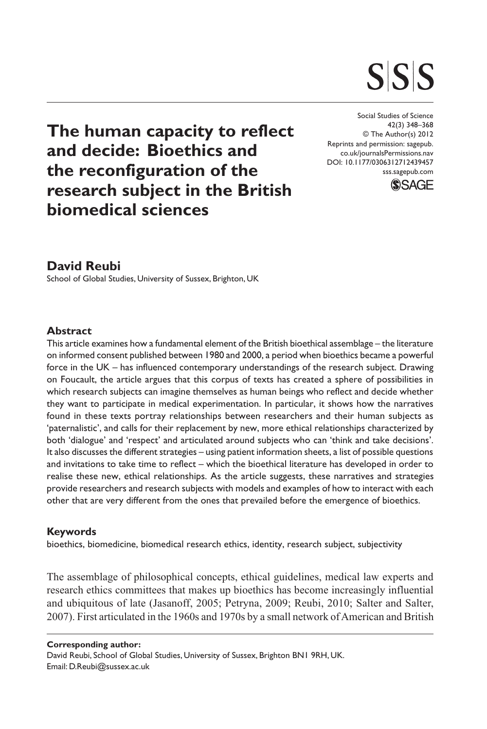$S|S|S$ 

**The human capacity to reflect and decide: Bioethics and the reconfiguration of the research subject in the British biomedical sciences**

Social Studies of Science 42(3) 348–368 © The Author(s) 2012 Reprints and permission: sagepub. co.uk/journalsPermissions.nav DOI: 10.1177/0306312712439457 sss.sagepub.com



# **David Reubi**

School of Global Studies, University of Sussex, Brighton, UK

### **Abstract**

This article examines how a fundamental element of the British bioethical assemblage – the literature on informed consent published between 1980 and 2000, a period when bioethics became a powerful force in the UK – has influenced contemporary understandings of the research subject. Drawing on Foucault, the article argues that this corpus of texts has created a sphere of possibilities in which research subjects can imagine themselves as human beings who reflect and decide whether they want to participate in medical experimentation. In particular, it shows how the narratives found in these texts portray relationships between researchers and their human subjects as 'paternalistic', and calls for their replacement by new, more ethical relationships characterized by both 'dialogue' and 'respect' and articulated around subjects who can 'think and take decisions'. It also discusses the different strategies – using patient information sheets, a list of possible questions and invitations to take time to reflect – which the bioethical literature has developed in order to realise these new, ethical relationships. As the article suggests, these narratives and strategies provide researchers and research subjects with models and examples of how to interact with each other that are very different from the ones that prevailed before the emergence of bioethics.

#### **Keywords**

bioethics, biomedicine, biomedical research ethics, identity, research subject, subjectivity

The assemblage of philosophical concepts, ethical guidelines, medical law experts and research ethics committees that makes up bioethics has become increasingly influential and ubiquitous of late (Jasanoff, 2005; Petryna, 2009; Reubi, 2010; Salter and Salter, 2007). First articulated in the 1960s and 1970s by a small network of American and British

**Corresponding author:**

David Reubi, School of Global Studies, University of Sussex, Brighton BN1 9RH, UK. Email: D.Reubi@sussex.ac.uk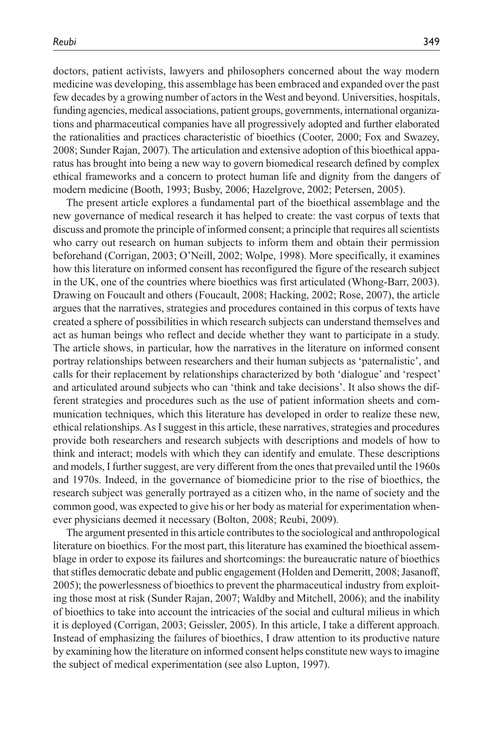doctors, patient activists, lawyers and philosophers concerned about the way modern medicine was developing, this assemblage has been embraced and expanded over the past few decades by a growing number of actors in the West and beyond. Universities, hospitals, funding agencies, medical associations, patient groups, governments, international organiza-

tions and pharmaceutical companies have all progressively adopted and further elaborated the rationalities and practices characteristic of bioethics (Cooter, 2000; Fox and Swazey, 2008; Sunder Rajan, 2007). The articulation and extensive adoption of this bioethical apparatus has brought into being a new way to govern biomedical research defined by complex ethical frameworks and a concern to protect human life and dignity from the dangers of modern medicine (Booth, 1993; Busby, 2006; Hazelgrove, 2002; Petersen, 2005).

The present article explores a fundamental part of the bioethical assemblage and the new governance of medical research it has helped to create: the vast corpus of texts that discuss and promote the principle of informed consent; a principle that requires all scientists who carry out research on human subjects to inform them and obtain their permission beforehand (Corrigan, 2003; O'Neill, 2002; Wolpe, 1998). More specifically, it examines how this literature on informed consent has reconfigured the figure of the research subject in the UK, one of the countries where bioethics was first articulated (Whong-Barr, 2003). Drawing on Foucault and others (Foucault, 2008; Hacking, 2002; Rose, 2007), the article argues that the narratives, strategies and procedures contained in this corpus of texts have created a sphere of possibilities in which research subjects can understand themselves and act as human beings who reflect and decide whether they want to participate in a study. The article shows, in particular, how the narratives in the literature on informed consent portray relationships between researchers and their human subjects as 'paternalistic', and calls for their replacement by relationships characterized by both 'dialogue' and 'respect' and articulated around subjects who can 'think and take decisions'. It also shows the different strategies and procedures such as the use of patient information sheets and communication techniques, which this literature has developed in order to realize these new, ethical relationships. As I suggest in this article, these narratives, strategies and procedures provide both researchers and research subjects with descriptions and models of how to think and interact; models with which they can identify and emulate. These descriptions and models, I further suggest, are very different from the ones that prevailed until the 1960s and 1970s. Indeed, in the governance of biomedicine prior to the rise of bioethics, the research subject was generally portrayed as a citizen who, in the name of society and the common good, was expected to give his or her body as material for experimentation whenever physicians deemed it necessary (Bolton, 2008; Reubi, 2009).

The argument presented in this article contributes to the sociological and anthropological literature on bioethics. For the most part, this literature has examined the bioethical assemblage in order to expose its failures and shortcomings: the bureaucratic nature of bioethics that stifles democratic debate and public engagement (Holden and Demeritt, 2008; Jasanoff, 2005); the powerlessness of bioethics to prevent the pharmaceutical industry from exploiting those most at risk (Sunder Rajan, 2007; Waldby and Mitchell, 2006); and the inability of bioethics to take into account the intricacies of the social and cultural milieus in which it is deployed (Corrigan, 2003; Geissler, 2005). In this article, I take a different approach. Instead of emphasizing the failures of bioethics, I draw attention to its productive nature by examining how the literature on informed consent helps constitute new ways to imagine the subject of medical experimentation (see also Lupton, 1997).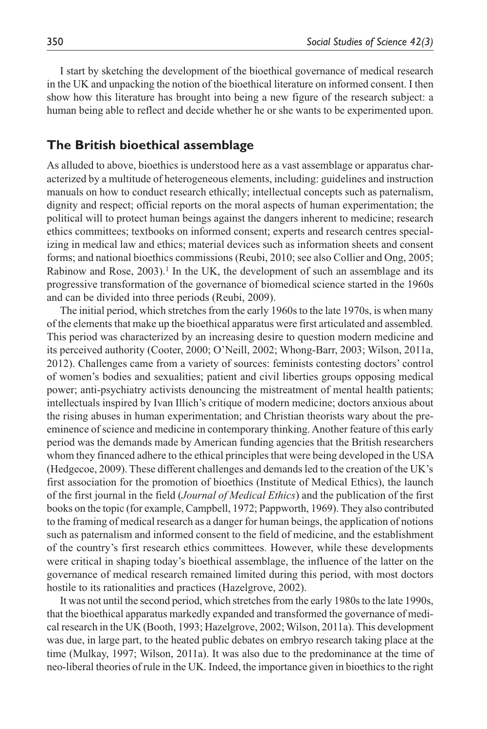I start by sketching the development of the bioethical governance of medical research in the UK and unpacking the notion of the bioethical literature on informed consent. I then show how this literature has brought into being a new figure of the research subject: a human being able to reflect and decide whether he or she wants to be experimented upon.

### **The British bioethical assemblage**

As alluded to above, bioethics is understood here as a vast assemblage or apparatus characterized by a multitude of heterogeneous elements, including: guidelines and instruction manuals on how to conduct research ethically; intellectual concepts such as paternalism, dignity and respect; official reports on the moral aspects of human experimentation; the political will to protect human beings against the dangers inherent to medicine; research ethics committees; textbooks on informed consent; experts and research centres specializing in medical law and ethics; material devices such as information sheets and consent forms; and national bioethics commissions (Reubi, 2010; see also Collier and Ong, 2005; Rabinow and Rose,  $2003$ ).<sup>1</sup> In the UK, the development of such an assemblage and its progressive transformation of the governance of biomedical science started in the 1960s and can be divided into three periods (Reubi, 2009).

The initial period, which stretches from the early 1960s to the late 1970s, is when many of the elements that make up the bioethical apparatus were first articulated and assembled. This period was characterized by an increasing desire to question modern medicine and its perceived authority (Cooter, 2000; O'Neill, 2002; Whong-Barr, 2003; Wilson, 2011a, 2012). Challenges came from a variety of sources: feminists contesting doctors' control of women's bodies and sexualities; patient and civil liberties groups opposing medical power; anti-psychiatry activists denouncing the mistreatment of mental health patients; intellectuals inspired by Ivan Illich's critique of modern medicine; doctors anxious about the rising abuses in human experimentation; and Christian theorists wary about the preeminence of science and medicine in contemporary thinking. Another feature of this early period was the demands made by American funding agencies that the British researchers whom they financed adhere to the ethical principles that were being developed in the USA (Hedgecoe, 2009). These different challenges and demands led to the creation of the UK's first association for the promotion of bioethics (Institute of Medical Ethics), the launch of the first journal in the field (*Journal of Medical Ethics*) and the publication of the first books on the topic (for example, Campbell, 1972; Pappworth, 1969). They also contributed to the framing of medical research as a danger for human beings, the application of notions such as paternalism and informed consent to the field of medicine, and the establishment of the country's first research ethics committees. However, while these developments were critical in shaping today's bioethical assemblage, the influence of the latter on the governance of medical research remained limited during this period, with most doctors hostile to its rationalities and practices (Hazelgrove, 2002).

It was not until the second period, which stretches from the early 1980s to the late 1990s, that the bioethical apparatus markedly expanded and transformed the governance of medical research in the UK (Booth, 1993; Hazelgrove, 2002; Wilson, 2011a). This development was due, in large part, to the heated public debates on embryo research taking place at the time (Mulkay, 1997; Wilson, 2011a). It was also due to the predominance at the time of neo-liberal theories of rule in the UK. Indeed, the importance given in bioethics to the right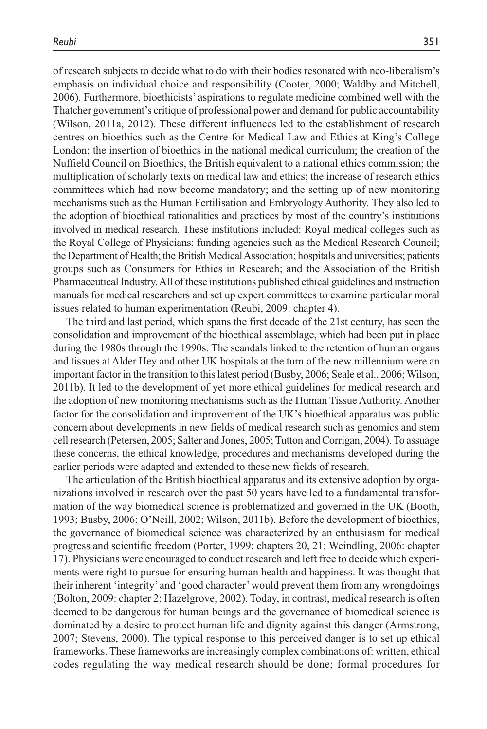of research subjects to decide what to do with their bodies resonated with neo-liberalism's emphasis on individual choice and responsibility (Cooter, 2000; Waldby and Mitchell, 2006). Furthermore, bioethicists' aspirations to regulate medicine combined well with the Thatcher government's critique of professional power and demand for public accountability (Wilson, 2011a, 2012). These different influences led to the establishment of research centres on bioethics such as the Centre for Medical Law and Ethics at King's College London; the insertion of bioethics in the national medical curriculum; the creation of the Nuffield Council on Bioethics, the British equivalent to a national ethics commission; the multiplication of scholarly texts on medical law and ethics; the increase of research ethics committees which had now become mandatory; and the setting up of new monitoring mechanisms such as the Human Fertilisation and Embryology Authority. They also led to the adoption of bioethical rationalities and practices by most of the country's institutions involved in medical research. These institutions included: Royal medical colleges such as the Royal College of Physicians; funding agencies such as the Medical Research Council; the Department of Health; the British Medical Association; hospitals and universities; patients groups such as Consumers for Ethics in Research; and the Association of the British Pharmaceutical Industry. All of these institutions published ethical guidelines and instruction manuals for medical researchers and set up expert committees to examine particular moral issues related to human experimentation (Reubi, 2009: chapter 4).

The third and last period, which spans the first decade of the 21st century, has seen the consolidation and improvement of the bioethical assemblage, which had been put in place during the 1980s through the 1990s. The scandals linked to the retention of human organs and tissues at Alder Hey and other UK hospitals at the turn of the new millennium were an important factor in the transition to this latest period (Busby, 2006; Seale et al., 2006; Wilson, 2011b). It led to the development of yet more ethical guidelines for medical research and the adoption of new monitoring mechanisms such as the Human Tissue Authority. Another factor for the consolidation and improvement of the UK's bioethical apparatus was public concern about developments in new fields of medical research such as genomics and stem cell research (Petersen, 2005; Salter and Jones, 2005; Tutton and Corrigan, 2004). To assuage these concerns, the ethical knowledge, procedures and mechanisms developed during the earlier periods were adapted and extended to these new fields of research.

The articulation of the British bioethical apparatus and its extensive adoption by organizations involved in research over the past 50 years have led to a fundamental transformation of the way biomedical science is problematized and governed in the UK (Booth, 1993; Busby, 2006; O'Neill, 2002; Wilson, 2011b). Before the development of bioethics, the governance of biomedical science was characterized by an enthusiasm for medical progress and scientific freedom (Porter, 1999: chapters 20, 21; Weindling, 2006: chapter 17). Physicians were encouraged to conduct research and left free to decide which experiments were right to pursue for ensuring human health and happiness. It was thought that their inherent 'integrity' and 'good character' would prevent them from any wrongdoings (Bolton, 2009: chapter 2; Hazelgrove, 2002). Today, in contrast, medical research is often deemed to be dangerous for human beings and the governance of biomedical science is dominated by a desire to protect human life and dignity against this danger (Armstrong, 2007; Stevens, 2000). The typical response to this perceived danger is to set up ethical frameworks. These frameworks are increasingly complex combinations of: written, ethical codes regulating the way medical research should be done; formal procedures for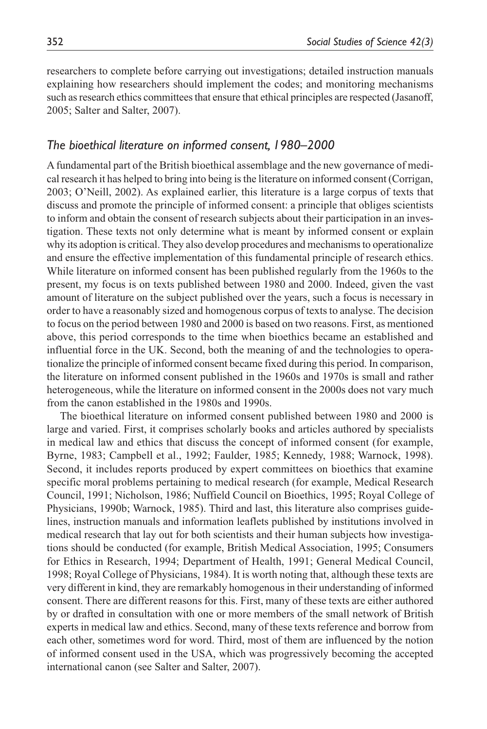researchers to complete before carrying out investigations; detailed instruction manuals explaining how researchers should implement the codes; and monitoring mechanisms such as research ethics committees that ensure that ethical principles are respected (Jasanoff, 2005; Salter and Salter, 2007).

### *The bioethical literature on informed consent, 1980–2000*

A fundamental part of the British bioethical assemblage and the new governance of medical research it has helped to bring into being is the literature on informed consent (Corrigan, 2003; O'Neill, 2002). As explained earlier, this literature is a large corpus of texts that discuss and promote the principle of informed consent: a principle that obliges scientists to inform and obtain the consent of research subjects about their participation in an investigation. These texts not only determine what is meant by informed consent or explain why its adoption is critical. They also develop procedures and mechanisms to operationalize and ensure the effective implementation of this fundamental principle of research ethics. While literature on informed consent has been published regularly from the 1960s to the present, my focus is on texts published between 1980 and 2000. Indeed, given the vast amount of literature on the subject published over the years, such a focus is necessary in order to have a reasonably sized and homogenous corpus of texts to analyse. The decision to focus on the period between 1980 and 2000 is based on two reasons. First, as mentioned above, this period corresponds to the time when bioethics became an established and influential force in the UK. Second, both the meaning of and the technologies to operationalize the principle of informed consent became fixed during this period. In comparison, the literature on informed consent published in the 1960s and 1970s is small and rather heterogeneous, while the literature on informed consent in the 2000s does not vary much from the canon established in the 1980s and 1990s.

The bioethical literature on informed consent published between 1980 and 2000 is large and varied. First, it comprises scholarly books and articles authored by specialists in medical law and ethics that discuss the concept of informed consent (for example, Byrne, 1983; Campbell et al., 1992; Faulder, 1985; Kennedy, 1988; Warnock, 1998). Second, it includes reports produced by expert committees on bioethics that examine specific moral problems pertaining to medical research (for example, Medical Research Council, 1991; Nicholson, 1986; Nuffield Council on Bioethics, 1995; Royal College of Physicians, 1990b; Warnock, 1985). Third and last, this literature also comprises guidelines, instruction manuals and information leaflets published by institutions involved in medical research that lay out for both scientists and their human subjects how investigations should be conducted (for example, British Medical Association, 1995; Consumers for Ethics in Research, 1994; Department of Health, 1991; General Medical Council, 1998; Royal College of Physicians, 1984). It is worth noting that, although these texts are very different in kind, they are remarkably homogenous in their understanding of informed consent. There are different reasons for this. First, many of these texts are either authored by or drafted in consultation with one or more members of the small network of British experts in medical law and ethics. Second, many of these texts reference and borrow from each other, sometimes word for word. Third, most of them are influenced by the notion of informed consent used in the USA, which was progressively becoming the accepted international canon (see Salter and Salter, 2007).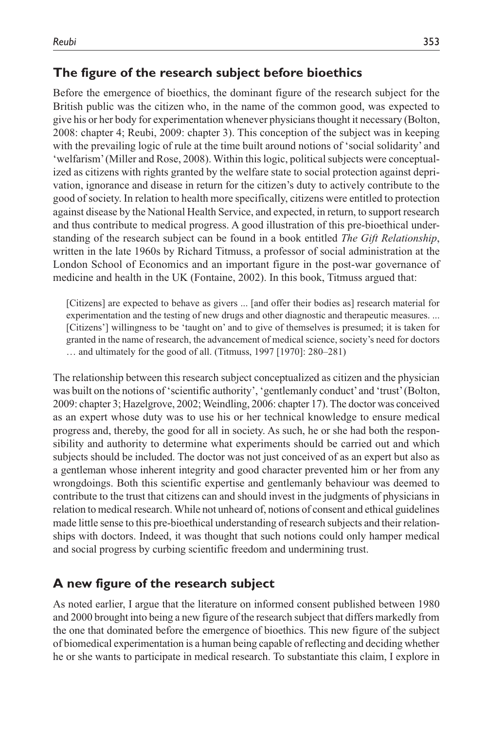# **The figure of the research subject before bioethics**

Before the emergence of bioethics, the dominant figure of the research subject for the British public was the citizen who, in the name of the common good, was expected to give his or her body for experimentation whenever physicians thought it necessary (Bolton, 2008: chapter 4; Reubi, 2009: chapter 3). This conception of the subject was in keeping with the prevailing logic of rule at the time built around notions of 'social solidarity' and 'welfarism' (Miller and Rose, 2008). Within this logic, political subjects were conceptualized as citizens with rights granted by the welfare state to social protection against deprivation, ignorance and disease in return for the citizen's duty to actively contribute to the good of society. In relation to health more specifically, citizens were entitled to protection against disease by the National Health Service, and expected, in return, to support research and thus contribute to medical progress. A good illustration of this pre-bioethical understanding of the research subject can be found in a book entitled *The Gift Relationship*, written in the late 1960s by Richard Titmuss, a professor of social administration at the London School of Economics and an important figure in the post-war governance of medicine and health in the UK (Fontaine, 2002). In this book, Titmuss argued that:

[Citizens] are expected to behave as givers ... [and offer their bodies as] research material for experimentation and the testing of new drugs and other diagnostic and therapeutic measures. ... [Citizens'] willingness to be 'taught on' and to give of themselves is presumed; it is taken for granted in the name of research, the advancement of medical science, society's need for doctors … and ultimately for the good of all. (Titmuss, 1997 [1970]: 280–281)

The relationship between this research subject conceptualized as citizen and the physician was built on the notions of 'scientific authority', 'gentlemanly conduct' and 'trust' (Bolton, 2009: chapter 3; Hazelgrove, 2002; Weindling, 2006: chapter 17). The doctor was conceived as an expert whose duty was to use his or her technical knowledge to ensure medical progress and, thereby, the good for all in society. As such, he or she had both the responsibility and authority to determine what experiments should be carried out and which subjects should be included. The doctor was not just conceived of as an expert but also as a gentleman whose inherent integrity and good character prevented him or her from any wrongdoings. Both this scientific expertise and gentlemanly behaviour was deemed to contribute to the trust that citizens can and should invest in the judgments of physicians in relation to medical research. While not unheard of, notions of consent and ethical guidelines made little sense to this pre-bioethical understanding of research subjects and their relationships with doctors. Indeed, it was thought that such notions could only hamper medical and social progress by curbing scientific freedom and undermining trust.

# **A new figure of the research subject**

As noted earlier, I argue that the literature on informed consent published between 1980 and 2000 brought into being a new figure of the research subject that differs markedly from the one that dominated before the emergence of bioethics. This new figure of the subject of biomedical experimentation is a human being capable of reflecting and deciding whether he or she wants to participate in medical research. To substantiate this claim, I explore in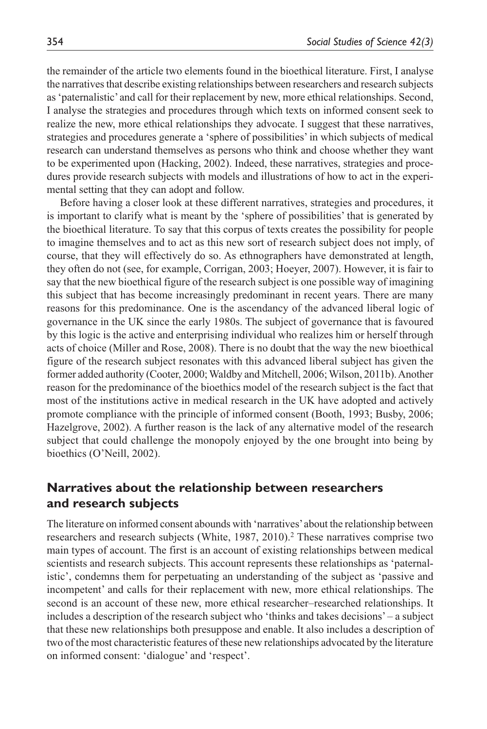the remainder of the article two elements found in the bioethical literature. First, I analyse the narratives that describe existing relationships between researchers and research subjects as 'paternalistic' and call for their replacement by new, more ethical relationships. Second, I analyse the strategies and procedures through which texts on informed consent seek to realize the new, more ethical relationships they advocate. I suggest that these narratives, strategies and procedures generate a 'sphere of possibilities' in which subjects of medical research can understand themselves as persons who think and choose whether they want to be experimented upon (Hacking, 2002). Indeed, these narratives, strategies and procedures provide research subjects with models and illustrations of how to act in the experimental setting that they can adopt and follow.

Before having a closer look at these different narratives, strategies and procedures, it is important to clarify what is meant by the 'sphere of possibilities' that is generated by the bioethical literature. To say that this corpus of texts creates the possibility for people to imagine themselves and to act as this new sort of research subject does not imply, of course, that they will effectively do so. As ethnographers have demonstrated at length, they often do not (see, for example, Corrigan, 2003; Hoeyer, 2007). However, it is fair to say that the new bioethical figure of the research subject is one possible way of imagining this subject that has become increasingly predominant in recent years. There are many reasons for this predominance. One is the ascendancy of the advanced liberal logic of governance in the UK since the early 1980s. The subject of governance that is favoured by this logic is the active and enterprising individual who realizes him or herself through acts of choice (Miller and Rose, 2008). There is no doubt that the way the new bioethical figure of the research subject resonates with this advanced liberal subject has given the former added authority (Cooter, 2000; Waldby and Mitchell, 2006; Wilson, 2011b). Another reason for the predominance of the bioethics model of the research subject is the fact that most of the institutions active in medical research in the UK have adopted and actively promote compliance with the principle of informed consent (Booth, 1993; Busby, 2006; Hazelgrove, 2002). A further reason is the lack of any alternative model of the research subject that could challenge the monopoly enjoyed by the one brought into being by bioethics (O'Neill, 2002).

# **Narratives about the relationship between researchers and research subjects**

The literature on informed consent abounds with 'narratives' about the relationship between researchers and research subjects (White, 1987, 2010).<sup>2</sup> These narratives comprise two main types of account. The first is an account of existing relationships between medical scientists and research subjects. This account represents these relationships as 'paternalistic', condemns them for perpetuating an understanding of the subject as 'passive and incompetent' and calls for their replacement with new, more ethical relationships. The second is an account of these new, more ethical researcher–researched relationships. It includes a description of the research subject who 'thinks and takes decisions' – a subject that these new relationships both presuppose and enable. It also includes a description of two of the most characteristic features of these new relationships advocated by the literature on informed consent: 'dialogue' and 'respect'.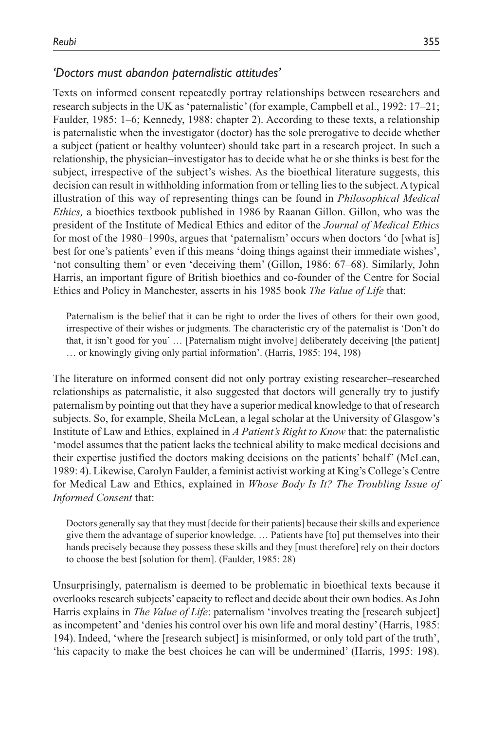# *'Doctors must abandon paternalistic attitudes'*

Texts on informed consent repeatedly portray relationships between researchers and research subjects in the UK as 'paternalistic' (for example, Campbell et al., 1992: 17–21; Faulder, 1985: 1–6; Kennedy, 1988: chapter 2). According to these texts, a relationship is paternalistic when the investigator (doctor) has the sole prerogative to decide whether a subject (patient or healthy volunteer) should take part in a research project. In such a relationship, the physician–investigator has to decide what he or she thinks is best for the subject, irrespective of the subject's wishes. As the bioethical literature suggests, this decision can result in withholding information from or telling lies to the subject. A typical illustration of this way of representing things can be found in *Philosophical Medical Ethics,* a bioethics textbook published in 1986 by Raanan Gillon. Gillon, who was the president of the Institute of Medical Ethics and editor of the *Journal of Medical Ethics* for most of the 1980–1990s, argues that 'paternalism' occurs when doctors 'do [what is] best for one's patients' even if this means 'doing things against their immediate wishes', 'not consulting them' or even 'deceiving them' (Gillon, 1986: 67–68). Similarly, John Harris, an important figure of British bioethics and co-founder of the Centre for Social Ethics and Policy in Manchester, asserts in his 1985 book *The Value of Life* that:

Paternalism is the belief that it can be right to order the lives of others for their own good, irrespective of their wishes or judgments. The characteristic cry of the paternalist is 'Don't do that, it isn't good for you' … [Paternalism might involve] deliberately deceiving [the patient] … or knowingly giving only partial information'. (Harris, 1985: 194, 198)

The literature on informed consent did not only portray existing researcher–researched relationships as paternalistic, it also suggested that doctors will generally try to justify paternalism by pointing out that they have a superior medical knowledge to that of research subjects. So, for example, Sheila McLean, a legal scholar at the University of Glasgow's Institute of Law and Ethics, explained in *A Patient's Right to Know* that: the paternalistic 'model assumes that the patient lacks the technical ability to make medical decisions and their expertise justified the doctors making decisions on the patients' behalf' (McLean, 1989: 4). Likewise, Carolyn Faulder, a feminist activist working at King's College's Centre for Medical Law and Ethics, explained in *Whose Body Is It? The Troubling Issue of Informed Consent* that:

Doctors generally say that they must [decide for their patients] because their skills and experience give them the advantage of superior knowledge. … Patients have [to] put themselves into their hands precisely because they possess these skills and they [must therefore] rely on their doctors to choose the best [solution for them]. (Faulder, 1985: 28)

Unsurprisingly, paternalism is deemed to be problematic in bioethical texts because it overlooks research subjects' capacity to reflect and decide about their own bodies. As John Harris explains in *The Value of Life*: paternalism 'involves treating the [research subject] as incompetent' and 'denies his control over his own life and moral destiny' (Harris, 1985: 194). Indeed, 'where the [research subject] is misinformed, or only told part of the truth', 'his capacity to make the best choices he can will be undermined' (Harris, 1995: 198).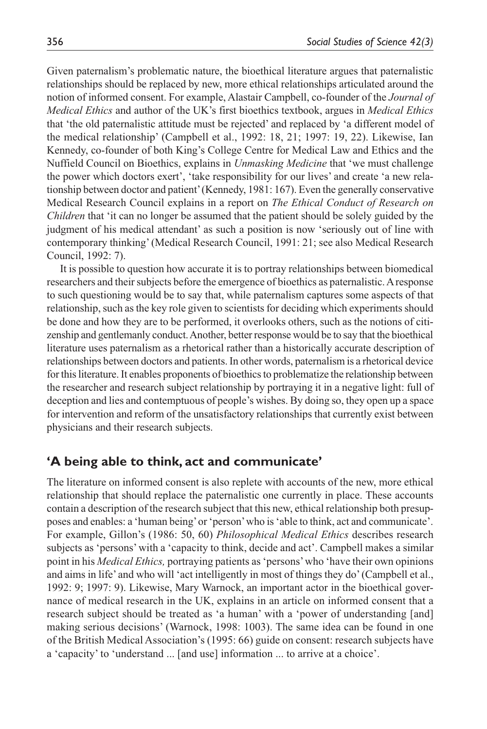Given paternalism's problematic nature, the bioethical literature argues that paternalistic relationships should be replaced by new, more ethical relationships articulated around the notion of informed consent. For example, Alastair Campbell, co-founder of the *Journal of Medical Ethics* and author of the UK's first bioethics textbook, argues in *Medical Ethics* that 'the old paternalistic attitude must be rejected' and replaced by 'a different model of the medical relationship' (Campbell et al., 1992: 18, 21; 1997: 19, 22). Likewise, Ian Kennedy, co-founder of both King's College Centre for Medical Law and Ethics and the Nuffield Council on Bioethics, explains in *Unmasking Medicine* that 'we must challenge the power which doctors exert', 'take responsibility for our lives' and create 'a new relationship between doctor and patient' (Kennedy, 1981: 167). Even the generally conservative Medical Research Council explains in a report on *The Ethical Conduct of Research on Children* that 'it can no longer be assumed that the patient should be solely guided by the judgment of his medical attendant' as such a position is now 'seriously out of line with contemporary thinking' (Medical Research Council, 1991: 21; see also Medical Research Council, 1992: 7).

It is possible to question how accurate it is to portray relationships between biomedical researchers and their subjects before the emergence of bioethics as paternalistic. A response to such questioning would be to say that, while paternalism captures some aspects of that relationship, such as the key role given to scientists for deciding which experiments should be done and how they are to be performed, it overlooks others, such as the notions of citizenship and gentlemanly conduct. Another, better response would be to say that the bioethical literature uses paternalism as a rhetorical rather than a historically accurate description of relationships between doctors and patients. In other words, paternalism is a rhetorical device for this literature. It enables proponents of bioethics to problematize the relationship between the researcher and research subject relationship by portraying it in a negative light: full of deception and lies and contemptuous of people's wishes. By doing so, they open up a space for intervention and reform of the unsatisfactory relationships that currently exist between physicians and their research subjects.

### **'A being able to think, act and communicate'**

The literature on informed consent is also replete with accounts of the new, more ethical relationship that should replace the paternalistic one currently in place. These accounts contain a description of the research subject that this new, ethical relationship both presupposes and enables: a 'human being' or 'person' who is 'able to think, act and communicate'. For example, Gillon's (1986: 50, 60) *Philosophical Medical Ethics* describes research subjects as 'persons' with a 'capacity to think, decide and act'. Campbell makes a similar point in his *Medical Ethics,* portraying patients as 'persons' who 'have their own opinions and aims in life' and who will 'act intelligently in most of things they do' (Campbell et al., 1992: 9; 1997: 9). Likewise, Mary Warnock, an important actor in the bioethical governance of medical research in the UK, explains in an article on informed consent that a research subject should be treated as 'a human' with a 'power of understanding [and] making serious decisions' (Warnock, 1998: 1003). The same idea can be found in one of the British Medical Association's (1995: 66) guide on consent: research subjects have a 'capacity' to 'understand ... [and use] information ... to arrive at a choice'.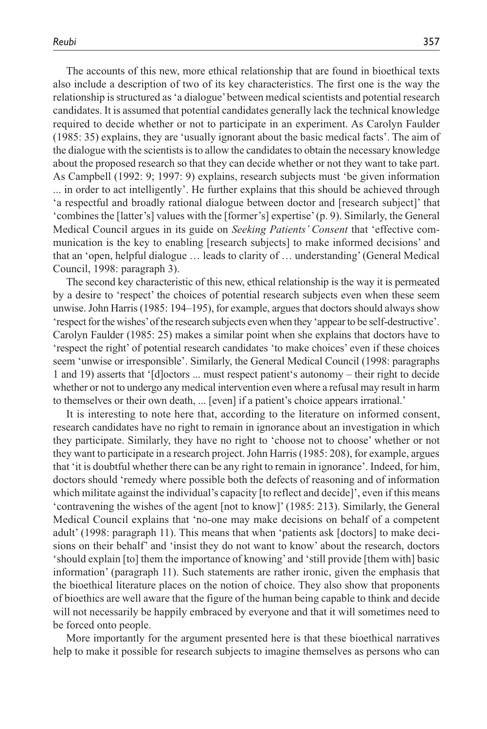The accounts of this new, more ethical relationship that are found in bioethical texts also include a description of two of its key characteristics. The first one is the way the relationship is structured as 'a dialogue' between medical scientists and potential research candidates. It is assumed that potential candidates generally lack the technical knowledge required to decide whether or not to participate in an experiment. As Carolyn Faulder (1985: 35) explains, they are 'usually ignorant about the basic medical facts'. The aim of the dialogue with the scientists is to allow the candidates to obtain the necessary knowledge about the proposed research so that they can decide whether or not they want to take part. As Campbell (1992: 9; 1997: 9) explains, research subjects must 'be given information ... in order to act intelligently'. He further explains that this should be achieved through 'a respectful and broadly rational dialogue between doctor and [research subject]' that 'combines the [latter's] values with the [former's] expertise' (p. 9). Similarly, the General Medical Council argues in its guide on *Seeking Patients' Consent* that 'effective communication is the key to enabling [research subjects] to make informed decisions' and that an 'open, helpful dialogue … leads to clarity of … understanding' (General Medical Council, 1998: paragraph 3).

The second key characteristic of this new, ethical relationship is the way it is permeated by a desire to 'respect' the choices of potential research subjects even when these seem unwise. John Harris (1985: 194–195), for example, argues that doctors should always show 'respect for the wishes' of the research subjects even when they 'appear to be self-destructive'. Carolyn Faulder (1985: 25) makes a similar point when she explains that doctors have to 'respect the right' of potential research candidates 'to make choices' even if these choices seem 'unwise or irresponsible'. Similarly, the General Medical Council (1998: paragraphs 1 and 19) asserts that '[d]octors ... must respect patient's autonomy – their right to decide whether or not to undergo any medical intervention even where a refusal may result in harm to themselves or their own death, ... [even] if a patient's choice appears irrational.'

It is interesting to note here that, according to the literature on informed consent, research candidates have no right to remain in ignorance about an investigation in which they participate. Similarly, they have no right to 'choose not to choose' whether or not they want to participate in a research project. John Harris (1985: 208), for example, argues that 'it is doubtful whether there can be any right to remain in ignorance'. Indeed, for him, doctors should 'remedy where possible both the defects of reasoning and of information which militate against the individual's capacity [to reflect and decide]', even if this means 'contravening the wishes of the agent [not to know]' (1985: 213). Similarly, the General Medical Council explains that 'no-one may make decisions on behalf of a competent adult' (1998: paragraph 11). This means that when 'patients ask [doctors] to make decisions on their behalf' and 'insist they do not want to know' about the research, doctors 'should explain [to] them the importance of knowing' and 'still provide [them with] basic information' (paragraph 11). Such statements are rather ironic, given the emphasis that the bioethical literature places on the notion of choice. They also show that proponents of bioethics are well aware that the figure of the human being capable to think and decide will not necessarily be happily embraced by everyone and that it will sometimes need to be forced onto people.

More importantly for the argument presented here is that these bioethical narratives help to make it possible for research subjects to imagine themselves as persons who can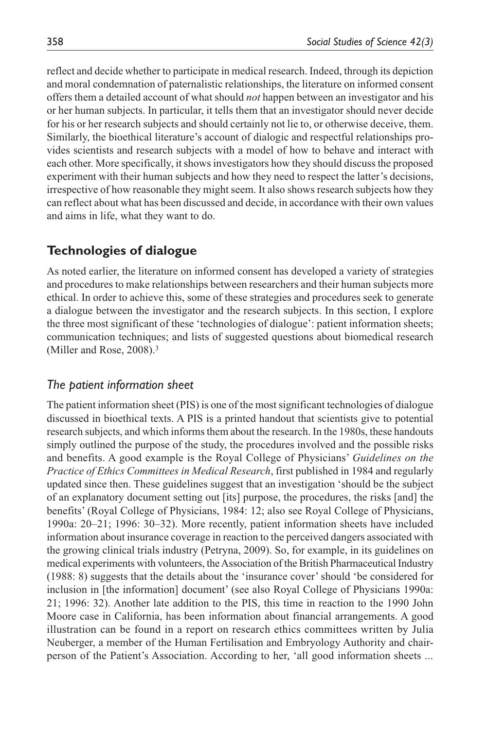reflect and decide whether to participate in medical research. Indeed, through its depiction and moral condemnation of paternalistic relationships, the literature on informed consent offers them a detailed account of what should *not* happen between an investigator and his or her human subjects. In particular, it tells them that an investigator should never decide for his or her research subjects and should certainly not lie to, or otherwise deceive, them. Similarly, the bioethical literature's account of dialogic and respectful relationships provides scientists and research subjects with a model of how to behave and interact with each other. More specifically, it shows investigators how they should discuss the proposed experiment with their human subjects and how they need to respect the latter's decisions, irrespective of how reasonable they might seem. It also shows research subjects how they can reflect about what has been discussed and decide, in accordance with their own values and aims in life, what they want to do.

# **Technologies of dialogue**

As noted earlier, the literature on informed consent has developed a variety of strategies and procedures to make relationships between researchers and their human subjects more ethical. In order to achieve this, some of these strategies and procedures seek to generate a dialogue between the investigator and the research subjects. In this section, I explore the three most significant of these 'technologies of dialogue': patient information sheets; communication techniques; and lists of suggested questions about biomedical research (Miller and Rose, 2008).3

### *The patient information sheet*

The patient information sheet (PIS) is one of the most significant technologies of dialogue discussed in bioethical texts. A PIS is a printed handout that scientists give to potential research subjects, and which informs them about the research. In the 1980s, these handouts simply outlined the purpose of the study, the procedures involved and the possible risks and benefits. A good example is the Royal College of Physicians' *Guidelines on the Practice of Ethics Committees in Medical Research*, first published in 1984 and regularly updated since then. These guidelines suggest that an investigation 'should be the subject of an explanatory document setting out [its] purpose, the procedures, the risks [and] the benefits' (Royal College of Physicians, 1984: 12; also see Royal College of Physicians, 1990a: 20–21; 1996: 30–32). More recently, patient information sheets have included information about insurance coverage in reaction to the perceived dangers associated with the growing clinical trials industry (Petryna, 2009). So, for example, in its guidelines on medical experiments with volunteers, the Association of the British Pharmaceutical Industry (1988: 8) suggests that the details about the 'insurance cover' should 'be considered for inclusion in [the information] document' (see also Royal College of Physicians 1990a: 21; 1996: 32). Another late addition to the PIS, this time in reaction to the 1990 John Moore case in California, has been information about financial arrangements. A good illustration can be found in a report on research ethics committees written by Julia Neuberger, a member of the Human Fertilisation and Embryology Authority and chairperson of the Patient's Association. According to her, 'all good information sheets ...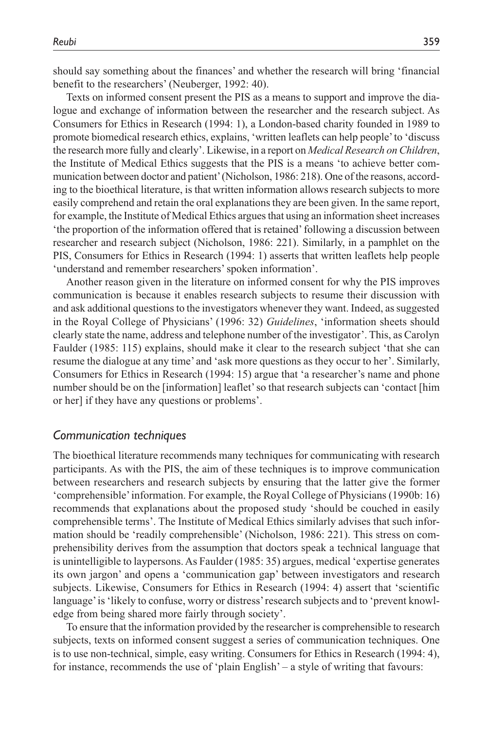should say something about the finances' and whether the research will bring 'financial benefit to the researchers' (Neuberger, 1992: 40).

Texts on informed consent present the PIS as a means to support and improve the dialogue and exchange of information between the researcher and the research subject. As Consumers for Ethics in Research (1994: 1), a London-based charity founded in 1989 to promote biomedical research ethics, explains, 'written leaflets can help people' to 'discuss the research more fully and clearly'. Likewise, in a report on *Medical Research on Children*, the Institute of Medical Ethics suggests that the PIS is a means 'to achieve better communication between doctor and patient' (Nicholson, 1986: 218). One of the reasons, according to the bioethical literature, is that written information allows research subjects to more easily comprehend and retain the oral explanations they are been given. In the same report, for example, the Institute of Medical Ethics argues that using an information sheet increases 'the proportion of the information offered that is retained' following a discussion between researcher and research subject (Nicholson, 1986: 221). Similarly, in a pamphlet on the PIS, Consumers for Ethics in Research (1994: 1) asserts that written leaflets help people 'understand and remember researchers' spoken information'.

Another reason given in the literature on informed consent for why the PIS improves communication is because it enables research subjects to resume their discussion with and ask additional questions to the investigators whenever they want. Indeed, as suggested in the Royal College of Physicians' (1996: 32) *Guidelines*, 'information sheets should clearly state the name, address and telephone number of the investigator'. This, as Carolyn Faulder (1985: 115) explains, should make it clear to the research subject 'that she can resume the dialogue at any time' and 'ask more questions as they occur to her'. Similarly, Consumers for Ethics in Research (1994: 15) argue that 'a researcher's name and phone number should be on the [information] leaflet' so that research subjects can 'contact [him or her] if they have any questions or problems'.

#### *Communication techniques*

The bioethical literature recommends many techniques for communicating with research participants. As with the PIS, the aim of these techniques is to improve communication between researchers and research subjects by ensuring that the latter give the former 'comprehensible' information. For example, the Royal College of Physicians (1990b: 16) recommends that explanations about the proposed study 'should be couched in easily comprehensible terms'. The Institute of Medical Ethics similarly advises that such information should be 'readily comprehensible' (Nicholson, 1986: 221). This stress on comprehensibility derives from the assumption that doctors speak a technical language that is unintelligible to laypersons. As Faulder (1985: 35) argues, medical 'expertise generates its own jargon' and opens a 'communication gap' between investigators and research subjects. Likewise, Consumers for Ethics in Research (1994: 4) assert that 'scientific language' is 'likely to confuse, worry or distress' research subjects and to 'prevent knowledge from being shared more fairly through society'.

To ensure that the information provided by the researcher is comprehensible to research subjects, texts on informed consent suggest a series of communication techniques. One is to use non-technical, simple, easy writing. Consumers for Ethics in Research (1994: 4), for instance, recommends the use of 'plain English' – a style of writing that favours: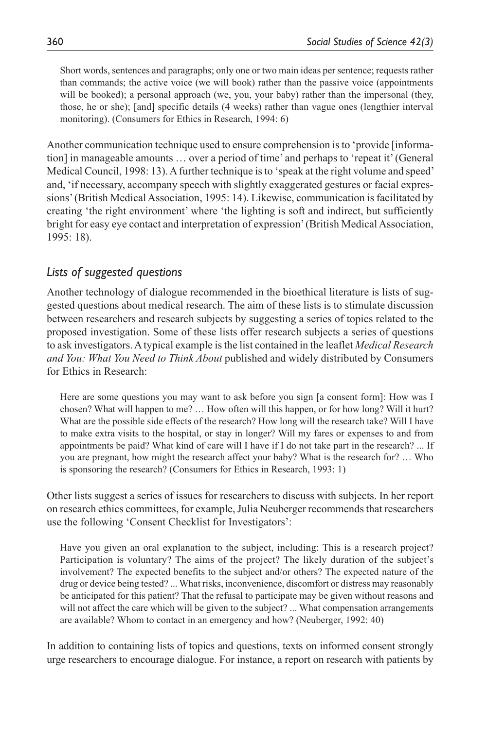Short words, sentences and paragraphs; only one or two main ideas per sentence; requests rather than commands; the active voice (we will book) rather than the passive voice (appointments will be booked); a personal approach (we, you, your baby) rather than the impersonal (they, those, he or she); [and] specific details (4 weeks) rather than vague ones (lengthier interval monitoring). (Consumers for Ethics in Research, 1994: 6)

Another communication technique used to ensure comprehension is to 'provide [information] in manageable amounts … over a period of time' and perhaps to 'repeat it' (General Medical Council, 1998: 13). A further technique is to 'speak at the right volume and speed' and, 'if necessary, accompany speech with slightly exaggerated gestures or facial expressions' (British Medical Association, 1995: 14). Likewise, communication is facilitated by creating 'the right environment' where 'the lighting is soft and indirect, but sufficiently bright for easy eye contact and interpretation of expression' (British Medical Association, 1995: 18).

# *Lists of suggested questions*

Another technology of dialogue recommended in the bioethical literature is lists of suggested questions about medical research. The aim of these lists is to stimulate discussion between researchers and research subjects by suggesting a series of topics related to the proposed investigation. Some of these lists offer research subjects a series of questions to ask investigators. A typical example is the list contained in the leaflet *Medical Research and You: What You Need to Think About* published and widely distributed by Consumers for Ethics in Research:

Here are some questions you may want to ask before you sign [a consent form]: How was I chosen? What will happen to me? … How often will this happen, or for how long? Will it hurt? What are the possible side effects of the research? How long will the research take? Will I have to make extra visits to the hospital, or stay in longer? Will my fares or expenses to and from appointments be paid? What kind of care will I have if I do not take part in the research? ... If you are pregnant, how might the research affect your baby? What is the research for? … Who is sponsoring the research? (Consumers for Ethics in Research, 1993: 1)

Other lists suggest a series of issues for researchers to discuss with subjects. In her report on research ethics committees, for example, Julia Neuberger recommends that researchers use the following 'Consent Checklist for Investigators':

Have you given an oral explanation to the subject, including: This is a research project? Participation is voluntary? The aims of the project? The likely duration of the subject's involvement? The expected benefits to the subject and/or others? The expected nature of the drug or device being tested? ... What risks, inconvenience, discomfort or distress may reasonably be anticipated for this patient? That the refusal to participate may be given without reasons and will not affect the care which will be given to the subject? ... What compensation arrangements are available? Whom to contact in an emergency and how? (Neuberger, 1992: 40)

In addition to containing lists of topics and questions, texts on informed consent strongly urge researchers to encourage dialogue. For instance, a report on research with patients by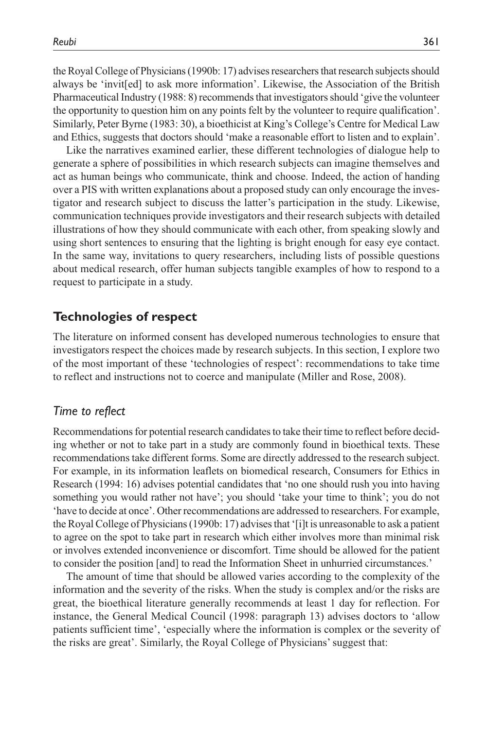the Royal College of Physicians (1990b: 17) advises researchers that research subjects should always be 'invit[ed] to ask more information'. Likewise, the Association of the British Pharmaceutical Industry (1988: 8) recommends that investigators should 'give the volunteer the opportunity to question him on any points felt by the volunteer to require qualification'. Similarly, Peter Byrne (1983: 30), a bioethicist at King's College's Centre for Medical Law and Ethics, suggests that doctors should 'make a reasonable effort to listen and to explain'.

Like the narratives examined earlier, these different technologies of dialogue help to generate a sphere of possibilities in which research subjects can imagine themselves and act as human beings who communicate, think and choose. Indeed, the action of handing over a PIS with written explanations about a proposed study can only encourage the investigator and research subject to discuss the latter's participation in the study. Likewise, communication techniques provide investigators and their research subjects with detailed illustrations of how they should communicate with each other, from speaking slowly and using short sentences to ensuring that the lighting is bright enough for easy eye contact. In the same way, invitations to query researchers, including lists of possible questions about medical research, offer human subjects tangible examples of how to respond to a request to participate in a study.

# **Technologies of respect**

The literature on informed consent has developed numerous technologies to ensure that investigators respect the choices made by research subjects. In this section, I explore two of the most important of these 'technologies of respect': recommendations to take time to reflect and instructions not to coerce and manipulate (Miller and Rose, 2008).

### *Time to reflect*

Recommendations for potential research candidates to take their time to reflect before deciding whether or not to take part in a study are commonly found in bioethical texts. These recommendations take different forms. Some are directly addressed to the research subject. For example, in its information leaflets on biomedical research, Consumers for Ethics in Research (1994: 16) advises potential candidates that 'no one should rush you into having something you would rather not have'; you should 'take your time to think'; you do not 'have to decide at once'. Other recommendations are addressed to researchers. For example, the Royal College of Physicians (1990b: 17) advises that '[i]t is unreasonable to ask a patient to agree on the spot to take part in research which either involves more than minimal risk or involves extended inconvenience or discomfort. Time should be allowed for the patient to consider the position [and] to read the Information Sheet in unhurried circumstances.'

The amount of time that should be allowed varies according to the complexity of the information and the severity of the risks. When the study is complex and/or the risks are great, the bioethical literature generally recommends at least 1 day for reflection. For instance, the General Medical Council (1998: paragraph 13) advises doctors to 'allow patients sufficient time', 'especially where the information is complex or the severity of the risks are great'. Similarly, the Royal College of Physicians' suggest that: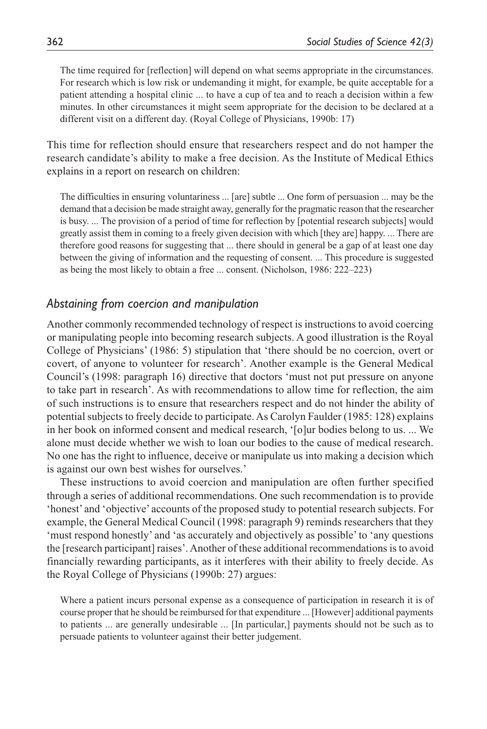The time required for [reflection] will depend on what seems appropriate in the circumstances. For research which is low risk or undemanding it might, for example, be quite acceptable for a patient attending a hospital clinic ... to have a cup of tea and to reach a decision within a few minutes. In other circumstances it might seem appropriate for the decision to be declared at a different visit on a different day. (Royal College of Physicians, 1990b: 17)

This time for reflection should ensure that researchers respect and do not hamper the research candidate's ability to make a free decision. As the Institute of Medical Ethics explains in a report on research on children:

The difficulties in ensuring voluntariness ... [are] subtle ... One form of persuasion ... may be the demand that a decision be made straight away, generally for the pragmatic reason that the researcher is busy. ... The provision of a period of time for reflection by [potential research subjects] would greatly assist them in coming to a freely given decision with which [they are] happy. ... There are therefore good reasons for suggesting that ... there should in general be a gap of at least one day between the giving of information and the requesting of consent. ... This procedure is suggested as being the most likely to obtain a free ... consent. (Nicholson, 1986: 222–223)

### *Abstaining from coercion and manipulation*

Another commonly recommended technology of respect is instructions to avoid coercing or manipulating people into becoming research subjects. A good illustration is the Royal College of Physicians' (1986: 5) stipulation that 'there should be no coercion, overt or covert, of anyone to volunteer for research'. Another example is the General Medical Council's (1998: paragraph 16) directive that doctors 'must not put pressure on anyone to take part in research'. As with recommendations to allow time for reflection, the aim of such instructions is to ensure that researchers respect and do not hinder the ability of potential subjects to freely decide to participate. As Carolyn Faulder (1985: 128) explains in her book on informed consent and medical research, '[o]ur bodies belong to us. ... We alone must decide whether we wish to loan our bodies to the cause of medical research. No one has the right to influence, deceive or manipulate us into making a decision which is against our own best wishes for ourselves.'

These instructions to avoid coercion and manipulation are often further specified through a series of additional recommendations. One such recommendation is to provide 'honest' and 'objective' accounts of the proposed study to potential research subjects. For example, the General Medical Council (1998: paragraph 9) reminds researchers that they 'must respond honestly' and 'as accurately and objectively as possible' to 'any questions the [research participant] raises'. Another of these additional recommendations is to avoid financially rewarding participants, as it interferes with their ability to freely decide. As the Royal College of Physicians (1990b: 27) argues:

Where a patient incurs personal expense as a consequence of participation in research it is of course proper that he should be reimbursed for that expenditure ... [However] additional payments to patients ... are generally undesirable ... [In particular,] payments should not be such as to persuade patients to volunteer against their better judgement.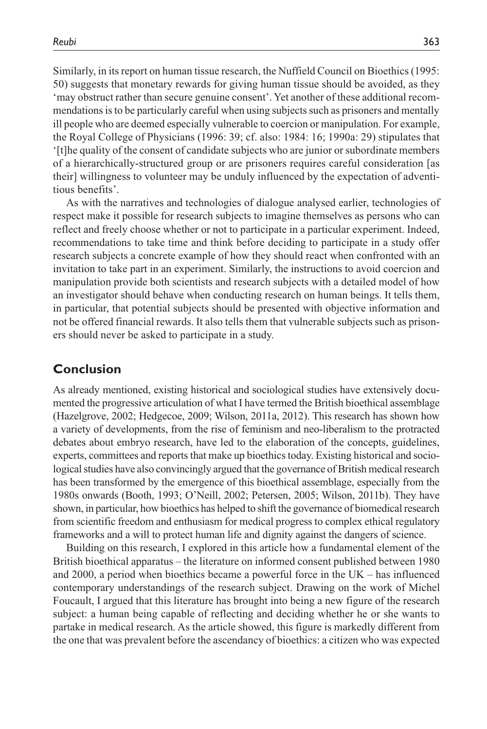Similarly, in its report on human tissue research, the Nuffield Council on Bioethics (1995: 50) suggests that monetary rewards for giving human tissue should be avoided, as they 'may obstruct rather than secure genuine consent'. Yet another of these additional recommendations is to be particularly careful when using subjects such as prisoners and mentally ill people who are deemed especially vulnerable to coercion or manipulation. For example, the Royal College of Physicians (1996: 39; cf. also: 1984: 16; 1990a: 29) stipulates that '[t]he quality of the consent of candidate subjects who are junior or subordinate members of a hierarchically-structured group or are prisoners requires careful consideration [as their] willingness to volunteer may be unduly influenced by the expectation of adventitious benefits'.

As with the narratives and technologies of dialogue analysed earlier, technologies of respect make it possible for research subjects to imagine themselves as persons who can reflect and freely choose whether or not to participate in a particular experiment. Indeed, recommendations to take time and think before deciding to participate in a study offer research subjects a concrete example of how they should react when confronted with an invitation to take part in an experiment. Similarly, the instructions to avoid coercion and manipulation provide both scientists and research subjects with a detailed model of how an investigator should behave when conducting research on human beings. It tells them, in particular, that potential subjects should be presented with objective information and not be offered financial rewards. It also tells them that vulnerable subjects such as prisoners should never be asked to participate in a study.

# **Conclusion**

As already mentioned, existing historical and sociological studies have extensively documented the progressive articulation of what I have termed the British bioethical assemblage (Hazelgrove, 2002; Hedgecoe, 2009; Wilson, 2011a, 2012). This research has shown how a variety of developments, from the rise of feminism and neo-liberalism to the protracted debates about embryo research, have led to the elaboration of the concepts, guidelines, experts, committees and reports that make up bioethics today. Existing historical and sociological studies have also convincingly argued that the governance of British medical research has been transformed by the emergence of this bioethical assemblage, especially from the 1980s onwards (Booth, 1993; O'Neill, 2002; Petersen, 2005; Wilson, 2011b). They have shown, in particular, how bioethics has helped to shift the governance of biomedical research from scientific freedom and enthusiasm for medical progress to complex ethical regulatory frameworks and a will to protect human life and dignity against the dangers of science.

Building on this research, I explored in this article how a fundamental element of the British bioethical apparatus – the literature on informed consent published between 1980 and 2000, a period when bioethics became a powerful force in the UK – has influenced contemporary understandings of the research subject. Drawing on the work of Michel Foucault, I argued that this literature has brought into being a new figure of the research subject: a human being capable of reflecting and deciding whether he or she wants to partake in medical research. As the article showed, this figure is markedly different from the one that was prevalent before the ascendancy of bioethics: a citizen who was expected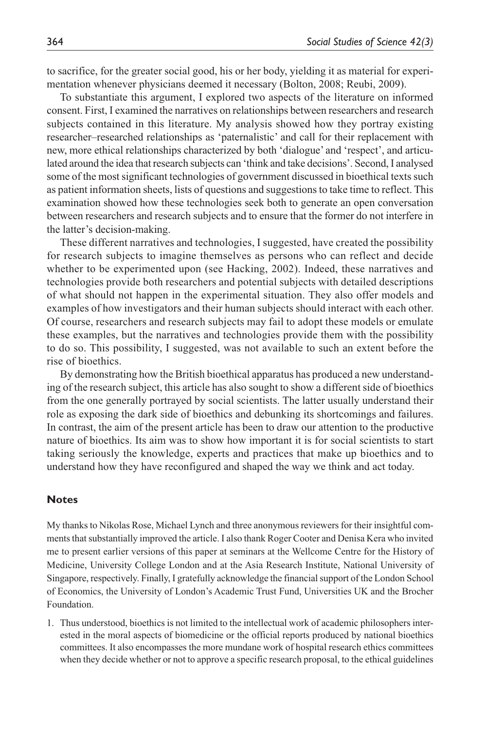to sacrifice, for the greater social good, his or her body, yielding it as material for experimentation whenever physicians deemed it necessary (Bolton, 2008; Reubi, 2009).

To substantiate this argument, I explored two aspects of the literature on informed consent. First, I examined the narratives on relationships between researchers and research subjects contained in this literature. My analysis showed how they portray existing researcher–researched relationships as 'paternalistic' and call for their replacement with new, more ethical relationships characterized by both 'dialogue' and 'respect', and articulated around the idea that research subjects can 'think and take decisions'. Second, I analysed some of the most significant technologies of government discussed in bioethical texts such as patient information sheets, lists of questions and suggestions to take time to reflect. This examination showed how these technologies seek both to generate an open conversation between researchers and research subjects and to ensure that the former do not interfere in the latter's decision-making.

These different narratives and technologies, I suggested, have created the possibility for research subjects to imagine themselves as persons who can reflect and decide whether to be experimented upon (see Hacking, 2002). Indeed, these narratives and technologies provide both researchers and potential subjects with detailed descriptions of what should not happen in the experimental situation. They also offer models and examples of how investigators and their human subjects should interact with each other. Of course, researchers and research subjects may fail to adopt these models or emulate these examples, but the narratives and technologies provide them with the possibility to do so. This possibility, I suggested, was not available to such an extent before the rise of bioethics.

By demonstrating how the British bioethical apparatus has produced a new understanding of the research subject, this article has also sought to show a different side of bioethics from the one generally portrayed by social scientists. The latter usually understand their role as exposing the dark side of bioethics and debunking its shortcomings and failures. In contrast, the aim of the present article has been to draw our attention to the productive nature of bioethics. Its aim was to show how important it is for social scientists to start taking seriously the knowledge, experts and practices that make up bioethics and to understand how they have reconfigured and shaped the way we think and act today.

#### **Notes**

My thanks to Nikolas Rose, Michael Lynch and three anonymous reviewers for their insightful comments that substantially improved the article. I also thank Roger Cooter and Denisa Kera who invited me to present earlier versions of this paper at seminars at the Wellcome Centre for the History of Medicine, University College London and at the Asia Research Institute, National University of Singapore, respectively. Finally, I gratefully acknowledge the financial support of the London School of Economics, the University of London's Academic Trust Fund, Universities UK and the Brocher Foundation.

1. Thus understood, bioethics is not limited to the intellectual work of academic philosophers interested in the moral aspects of biomedicine or the official reports produced by national bioethics committees. It also encompasses the more mundane work of hospital research ethics committees when they decide whether or not to approve a specific research proposal, to the ethical guidelines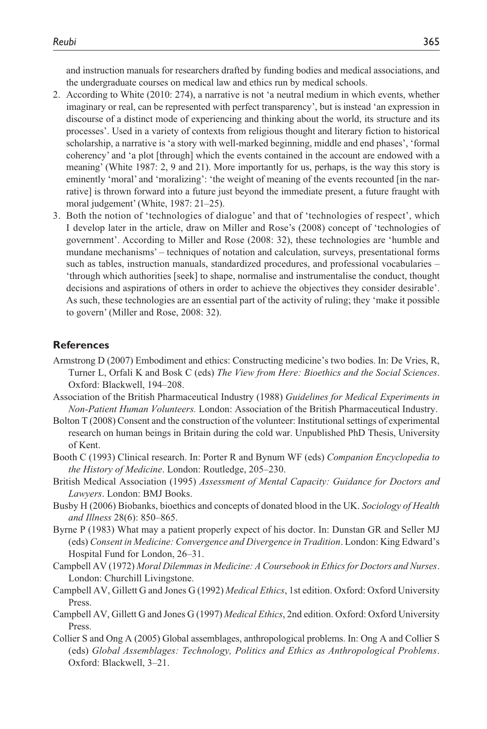and instruction manuals for researchers drafted by funding bodies and medical associations, and the undergraduate courses on medical law and ethics run by medical schools.

- 2. According to White (2010: 274), a narrative is not 'a neutral medium in which events, whether imaginary or real, can be represented with perfect transparency', but is instead 'an expression in discourse of a distinct mode of experiencing and thinking about the world, its structure and its processes'. Used in a variety of contexts from religious thought and literary fiction to historical scholarship, a narrative is 'a story with well-marked beginning, middle and end phases', 'formal coherency' and 'a plot [through] which the events contained in the account are endowed with a meaning' (White 1987: 2, 9 and 21). More importantly for us, perhaps, is the way this story is eminently 'moral' and 'moralizing': 'the weight of meaning of the events recounted [in the narrative] is thrown forward into a future just beyond the immediate present, a future fraught with moral judgement' (White, 1987: 21–25).
- 3. Both the notion of 'technologies of dialogue' and that of 'technologies of respect', which I develop later in the article, draw on Miller and Rose's (2008) concept of 'technologies of government'. According to Miller and Rose (2008: 32), these technologies are 'humble and mundane mechanisms' – techniques of notation and calculation, surveys, presentational forms such as tables, instruction manuals, standardized procedures, and professional vocabularies – 'through which authorities [seek] to shape, normalise and instrumentalise the conduct, thought decisions and aspirations of others in order to achieve the objectives they consider desirable'. As such, these technologies are an essential part of the activity of ruling; they 'make it possible to govern' (Miller and Rose, 2008: 32).

#### **References**

- Armstrong D (2007) Embodiment and ethics: Constructing medicine's two bodies. In: De Vries, R, Turner L, Orfali K and Bosk C (eds) *The View from Here: Bioethics and the Social Sciences*. Oxford: Blackwell, 194–208.
- Association of the British Pharmaceutical Industry (1988) *Guidelines for Medical Experiments in Non-Patient Human Volunteers.* London: Association of the British Pharmaceutical Industry.
- Bolton T (2008) Consent and the construction of the volunteer: Institutional settings of experimental research on human beings in Britain during the cold war. Unpublished PhD Thesis, University of Kent.
- Booth C (1993) Clinical research. In: Porter R and Bynum WF (eds) *Companion Encyclopedia to the History of Medicine*. London: Routledge, 205–230.
- British Medical Association (1995) *Assessment of Mental Capacity: Guidance for Doctors and Lawyers*. London: BMJ Books.
- Busby H (2006) Biobanks, bioethics and concepts of donated blood in the UK. *Sociology of Health and Illness* 28(6): 850–865.
- Byrne P (1983) What may a patient properly expect of his doctor. In: Dunstan GR and Seller MJ (eds) *Consent in Medicine: Convergence and Divergence in Tradition*. London: King Edward's Hospital Fund for London, 26–31.
- Campbell AV (1972) *Moral Dilemmas in Medicine: A Coursebook in Ethics for Doctors and Nurses*. London: Churchill Livingstone.
- Campbell AV, Gillett G and Jones G (1992) *Medical Ethics*, 1st edition. Oxford: Oxford University Press.
- Campbell AV, Gillett G and Jones G (1997) *Medical Ethics*, 2nd edition. Oxford: Oxford University Press.
- Collier S and Ong A (2005) Global assemblages, anthropological problems. In: Ong A and Collier S (eds) *Global Assemblages: Technology, Politics and Ethics as Anthropological Problems*. Oxford: Blackwell, 3–21.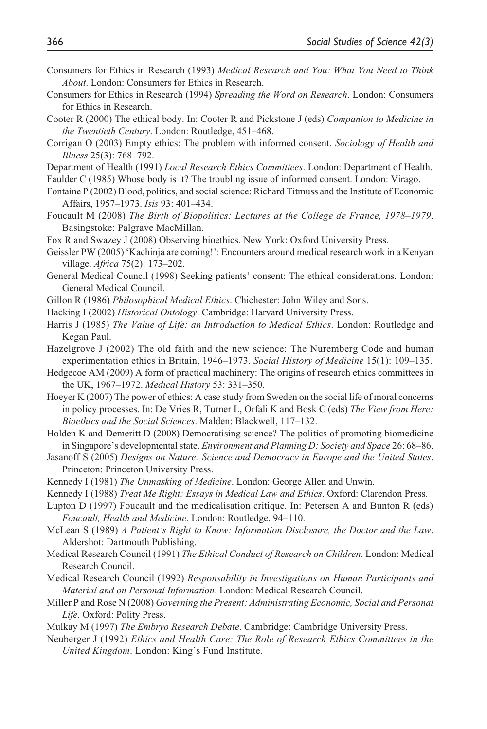- Consumers for Ethics in Research (1993) *Medical Research and You: What You Need to Think About*. London: Consumers for Ethics in Research.
- Consumers for Ethics in Research (1994) *Spreading the Word on Research*. London: Consumers for Ethics in Research.
- Cooter R (2000) The ethical body. In: Cooter R and Pickstone J (eds) *Companion to Medicine in the Twentieth Century*. London: Routledge, 451–468.
- Corrigan O (2003) Empty ethics: The problem with informed consent. *Sociology of Health and Illness* 25(3): 768–792.
- Department of Health (1991) *Local Research Ethics Committees*. London: Department of Health.
- Faulder C (1985) Whose body is it? The troubling issue of informed consent. London: Virago.
- Fontaine P (2002) Blood, politics, and social science: Richard Titmuss and the Institute of Economic Affairs, 1957–1973. *Isis* 93: 401–434.
- Foucault M (2008) *The Birth of Biopolitics: Lectures at the College de France, 1978–1979*. Basingstoke: Palgrave MacMillan.
- Fox R and Swazey J (2008) Observing bioethics. New York: Oxford University Press.
- Geissler PW (2005) 'Kachinja are coming!': Encounters around medical research work in a Kenyan village. *Africa* 75(2): 173–202.
- General Medical Council (1998) Seeking patients' consent: The ethical considerations. London: General Medical Council.
- Gillon R (1986) *Philosophical Medical Ethics*. Chichester: John Wiley and Sons.
- Hacking I (2002) *Historical Ontology*. Cambridge: Harvard University Press.
- Harris J (1985) *The Value of Life: an Introduction to Medical Ethics*. London: Routledge and Kegan Paul.
- Hazelgrove J (2002) The old faith and the new science: The Nuremberg Code and human experimentation ethics in Britain, 1946–1973. *Social History of Medicine* 15(1): 109–135.
- Hedgecoe AM (2009) A form of practical machinery: The origins of research ethics committees in the UK, 1967–1972. *Medical History* 53: 331–350.
- Hoeyer K (2007) The power of ethics: A case study from Sweden on the social life of moral concerns in policy processes. In: De Vries R, Turner L, Orfali K and Bosk C (eds) *The View from Here: Bioethics and the Social Sciences*. Malden: Blackwell, 117–132.
- Holden K and Demeritt D (2008) Democratising science? The politics of promoting biomedicine in Singapore's developmental state. *Environment and Planning D: Society and Space* 26: 68–86.
- Jasanoff S (2005) *Designs on Nature: Science and Democracy in Europe and the United States*. Princeton: Princeton University Press.
- Kennedy I (1981) *The Unmasking of Medicine*. London: George Allen and Unwin.
- Kennedy I (1988) *Treat Me Right: Essays in Medical Law and Ethics*. Oxford: Clarendon Press.
- Lupton D (1997) Foucault and the medicalisation critique. In: Petersen A and Bunton R (eds) *Foucault, Health and Medicine*. London: Routledge, 94–110.
- McLean S (1989) *A Patient's Right to Know: Information Disclosure, the Doctor and the Law*. Aldershot: Dartmouth Publishing.
- Medical Research Council (1991) *The Ethical Conduct of Research on Children*. London: Medical Research Council.
- Medical Research Council (1992) *Responsability in Investigations on Human Participants and Material and on Personal Information*. London: Medical Research Council.
- Miller P and Rose N (2008) *Governing the Present: Administrating Economic, Social and Personal Life*. Oxford: Polity Press.
- Mulkay M (1997) *The Embryo Research Debate*. Cambridge: Cambridge University Press.
- Neuberger J (1992) *Ethics and Health Care: The Role of Research Ethics Committees in the United Kingdom*. London: King's Fund Institute.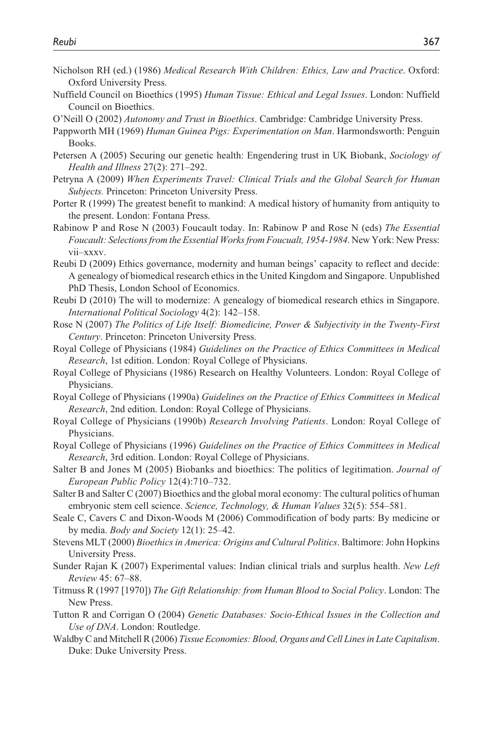- Nicholson RH (ed.) (1986) *Medical Research With Children: Ethics, Law and Practice*. Oxford: Oxford University Press.
- Nuffield Council on Bioethics (1995) *Human Tissue: Ethical and Legal Issues*. London: Nuffield Council on Bioethics.
- O'Neill O (2002) *Autonomy and Trust in Bioethics*. Cambridge: Cambridge University Press.
- Pappworth MH (1969) *Human Guinea Pigs: Experimentation on Man*. Harmondsworth: Penguin Books.
- Petersen A (2005) Securing our genetic health: Engendering trust in UK Biobank, *Sociology of Health and Illness* 27(2): 271–292.
- Petryna A (2009) *When Experiments Travel: Clinical Trials and the Global Search for Human Subjects.* Princeton: Princeton University Press.
- Porter R (1999) The greatest benefit to mankind: A medical history of humanity from antiquity to the present. London: Fontana Press.
- Rabinow P and Rose N (2003) Foucault today. In: Rabinow P and Rose N (eds) *The Essential Foucault: Selections from the Essential Works from Foucualt, 1954-1984*. New York: New Press: vii–xxxv.
- Reubi D (2009) Ethics governance, modernity and human beings' capacity to reflect and decide: A genealogy of biomedical research ethics in the United Kingdom and Singapore. Unpublished PhD Thesis, London School of Economics.
- Reubi D (2010) The will to modernize: A genealogy of biomedical research ethics in Singapore. *International Political Sociology* 4(2): 142–158.
- Rose N (2007) *The Politics of Life Itself: Biomedicine, Power & Subjectivity in the Twenty-First Century*. Princeton: Princeton University Press.
- Royal College of Physicians (1984) *Guidelines on the Practice of Ethics Committees in Medical Research*, 1st edition. London: Royal College of Physicians.
- Royal College of Physicians (1986) Research on Healthy Volunteers. London: Royal College of Physicians.
- Royal College of Physicians (1990a) *Guidelines on the Practice of Ethics Committees in Medical Research*, 2nd edition. London: Royal College of Physicians.
- Royal College of Physicians (1990b) *Research Involving Patients*. London: Royal College of Physicians.
- Royal College of Physicians (1996) *Guidelines on the Practice of Ethics Committees in Medical Research*, 3rd edition. London: Royal College of Physicians.
- Salter B and Jones M (2005) Biobanks and bioethics: The politics of legitimation. *Journal of European Public Policy* 12(4):710–732.
- Salter B and Salter C (2007) Bioethics and the global moral economy: The cultural politics of human embryonic stem cell science. *Science, Technology, & Human Values* 32(5): 554–581.
- Seale C, Cavers C and Dixon-Woods M (2006) Commodification of body parts: By medicine or by media. *Body and Society* 12(1): 25–42.
- Stevens MLT (2000) *Bioethics in America: Origins and Cultural Politics*. Baltimore: John Hopkins University Press.
- Sunder Rajan K (2007) Experimental values: Indian clinical trials and surplus health. *New Left Review* 45: 67–88.
- Titmuss R (1997 [1970]) *The Gift Relationship: from Human Blood to Social Policy*. London: The New Press.
- Tutton R and Corrigan O (2004) *Genetic Databases: Socio-Ethical Issues in the Collection and Use of DNA*. London: Routledge.
- Waldby C and Mitchell R (2006) *Tissue Economies: Blood, Organs and Cell Lines in Late Capitalism*. Duke: Duke University Press.